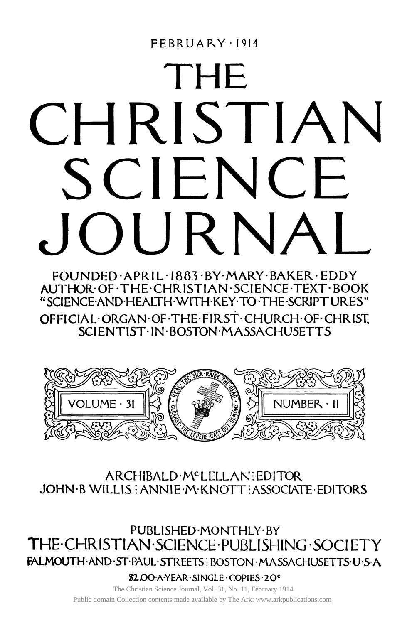## **FEBRUARY 1914**

# THE CHRISTIAN SCIENCE OURNA

**FOUNDED APRIL I883 BY MARY BAKER EDDY AUTHOR OF THE CHRISTIAN SCIENCE TEXT BOOK "SCIENCE AND HEALTH WITH KEY TO THE SCRIPTURES" OFFIClAL ORGAN OF THE FIRST CHURCH OF CHRIST, SCIENTIST IN BOSTON MASSACHUSETTS** 



# ARCHIBALD M**C**LELLAN EDITOR JOHN B WILLIS : ANNIE M KNOTT : ASSOCIATE EDITORS

**PUBLISHED MONTHLY BY**  THE CHRISTIAN SCIENCE PUBLISHING SOCIETY **FALMOUTH AND ST PAUL STREETS; BOSTON MASSACHUSETTS US A** 

**\$2.OO A YEAR SINGLE COPIES 20<sup>c</sup>**

The Christian Science Journal, Vol. 31, No. 11, February 1914 Public domain Collection contents made available by The Ark: www.arkpublications.com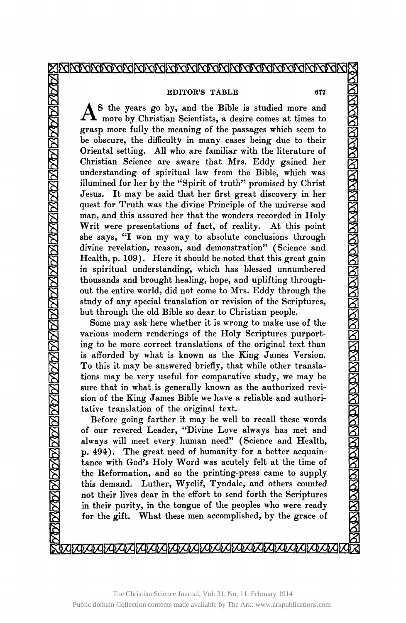#### XRRRRRRRRRRRRRRRRRRRRRRRRRRRRRRRRRRRR

#### **EDITOR'S TABLE 677**

AS the years go by, and the Bible is studied more and more by Christian Scientists, a desire comes at times to S the years go by, and the Bible is studied more and grasp more fully the meaning of the passages which seem to be obscure, the difficulty in many cases being due to their Oriental setting. All who are familiar with the literature of Christian Science are aware that Mrs. Eddy gained her understanding of spiritual law from the Bible, which was illumined for her by the "Spirit of truth" promised by Christ Jesus. It may be said that her first great discovery in her quest for Truth was the divine Principle of the universe and man, and this assured her that the wonders recorded in Holy Writ were presentations of fact, of reality. At this point she says, "I won my way to absolute conclusions through divine revelation, reason, and demonstration" (Science and Health, p. 109). Here it should be noted that this great gain in spiritual understanding, which has blessed unnumbered thousands and brought healing, hope, and uplifting throughout the entire world, did not come to Mrs. Eddy through the study of any special translation or revision of the Scriptures, but through the old Bible so dear to Christian people.

Some may ask here whether it is wrong to make use of the various modern renderings of the Holy Scriptures purporting to be more correct translations of the original text than is afforded by what is known as the King James Version. To this it may be answered briefly, that while other translations may be very useful for comparative study, we may be sure that in what is generally known as the authorized revision of the King James Bible we have a reliable and authoritative translation of the original text.

Before going farther it may be well to recall these words of our revered Leader, "Divine Love always has met and always will meet every human need" (Science and Health, p. 494). The great need of humanity for a better acquaintance with God's Holy Word was acutely felt at the time of the Reformation, and so the printing-press came to supply this demand. Luther, Wyclif, Tyndale, and others counted not their lives dear in the effort to send forth the Scriptures in their purity, in the tongue of the peoples who were ready for the gift. What these men accomplished, by the grace of

<u>MARINAN KAMBERIN SEBENG KAMBERIN SEBENG KAMBERIN SEBENG KAMBERIN SEBENG KA</u>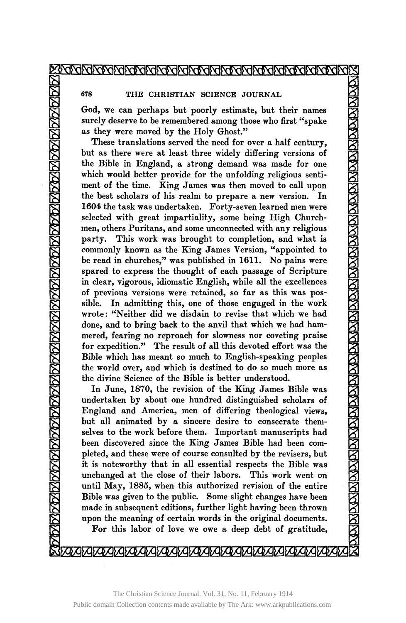### ZRAZI ZRAZI ZRAZI ZRAZI ZRAZI ZRAZI ZRAZI ZRAZI ZRAZI ZRAZI Z

**678 THE CHRISTIAN SCIENCE JOURNAL** 

**God, we can perhaps but poorly estimate, but their names surely deserve to be remembered among those who first "spake as they were moved by the Holy Ghost."** 

**These translations served the need for over a half century, but as there were at least three widely differing versions of the Bible in England, a strong demand was made for one which would better provide for the unfolding religious sentiment of the time. King James was then moved to call upon the best scholars of his realm to prepare a new version. In 1604 the task was undertaken. Forty-seven learned men were selected with great impartiality, some being High Churchmen, others Puritans, and some unconnected with any religious party. This work was brought to completion, and what is commonly known as the King James Version, "appointed to be read in churches," was published in 1611. No pains were spared to express the thought of each passage of Scripture in clear, vigorous, idiomatic English, while all the excellences of previous versions were retained, so far as this was possible. In admitting this, one of those engaged in the work wrote: "Neither did we disdain to revise that which we had done, and to bring back to the anvil that which we had hammered, fearing no reproach for slowness nor coveting praise for expedition." The result of all this devoted effort was the Bible which has meant so much to English-speaking peoples the world over, and which is destined to do so much more as the divine Science of the Bible is better understood.** 

**In June, 1870, the revision of the King James Bible was undertaken by about one hundred distinguished scholars of England and America, men of differing theological views, but all animated by a sincere desire to consecrate themselves to the work before them. Important manuscripts had been discovered since the King James Bible had been completed, and these were of course consulted by the revisers, but it is noteworthy that in all essential respects the Bible was unchanged at the close of their labors. This work went on until May, 1885, when this authorized revision of the entire Bible was given to the public. Some slight changes have been made in subsequent editions, further light having been thrown upon the meaning of certain words in the original documents. For this labor of love we owe a deep debt of gratitude,**